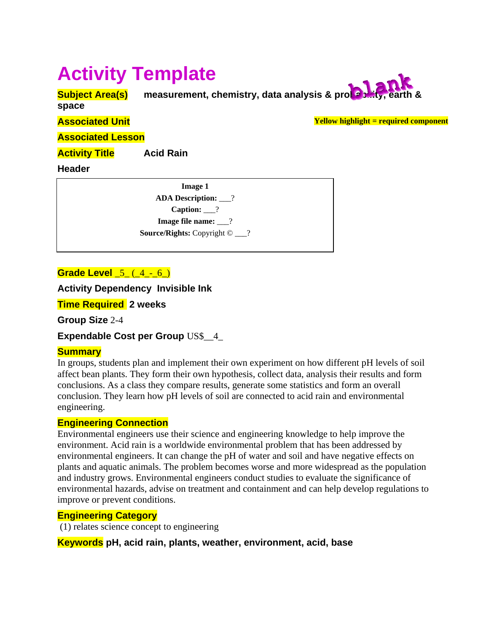# **Activity Template**

**Subject Area(s)** measurement, chemistry, data analysis & probation

**space** 

**Yellow highlight = required component**

**Associated Unit** 

**Associated Lesson** 

**Activity Title Acid Rain** 

**Header**

| Image 1                                      |
|----------------------------------------------|
| <b>ADA Description:</b> 2                    |
| Caption: $\frac{2}{2}$                       |
| Image file name: $\frac{?}{?}$               |
| <b>Source/Rights:</b> Copyright $\odot$ ___? |

# **Grade Level** 5 (4 - 6)

**Activity Dependency Invisible Ink** 

**Time Required 2 weeks**

**Group Size** 2-4

**Expendable Cost per Group** US\$\_\_4\_

# **Summary**

In groups, students plan and implement their own experiment on how different pH levels of soil affect bean plants. They form their own hypothesis, collect data, analysis their results and form conclusions. As a class they compare results, generate some statistics and form an overall conclusion. They learn how pH levels of soil are connected to acid rain and environmental engineering.

## **Engineering Connection**

Environmental engineers use their science and engineering knowledge to help improve the environment. Acid rain is a worldwide environmental problem that has been addressed by environmental engineers. It can change the pH of water and soil and have negative effects on plants and aquatic animals. The problem becomes worse and more widespread as the population and industry grows. Environmental engineers conduct studies to evaluate the significance of environmental hazards, advise on treatment and containment and can help develop regulations to improve or prevent conditions.

## **Engineering Category**

(1) relates science concept to engineering

**Keywords pH, acid rain, plants, weather, environment, acid, base**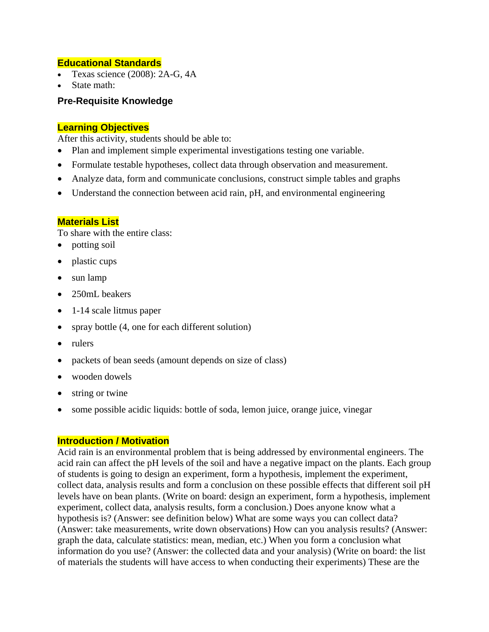## **Educational Standards**

- Texas science (2008): 2A-G, 4A
- State math:

## **Pre-Requisite Knowledge**

#### **Learning Objectives**

After this activity, students should be able to:

- Plan and implement simple experimental investigations testing one variable.
- Formulate testable hypotheses, collect data through observation and measurement.
- Analyze data, form and communicate conclusions, construct simple tables and graphs
- Understand the connection between acid rain, pH, and environmental engineering

#### **Materials List**

To share with the entire class:

- potting soil
- plastic cups
- sun lamp
- 250mL beakers
- 1-14 scale litmus paper
- spray bottle (4, one for each different solution)
- rulers
- packets of bean seeds (amount depends on size of class)
- wooden dowels
- string or twine
- some possible acidic liquids: bottle of soda, lemon juice, orange juice, vinegar

#### **Introduction / Motivation**

Acid rain is an environmental problem that is being addressed by environmental engineers. The acid rain can affect the pH levels of the soil and have a negative impact on the plants. Each group of students is going to design an experiment, form a hypothesis, implement the experiment, collect data, analysis results and form a conclusion on these possible effects that different soil pH levels have on bean plants. (Write on board: design an experiment, form a hypothesis, implement experiment, collect data, analysis results, form a conclusion.) Does anyone know what a hypothesis is? (Answer: see definition below) What are some ways you can collect data? (Answer: take measurements, write down observations) How can you analysis results? (Answer: graph the data, calculate statistics: mean, median, etc.) When you form a conclusion what information do you use? (Answer: the collected data and your analysis) (Write on board: the list of materials the students will have access to when conducting their experiments) These are the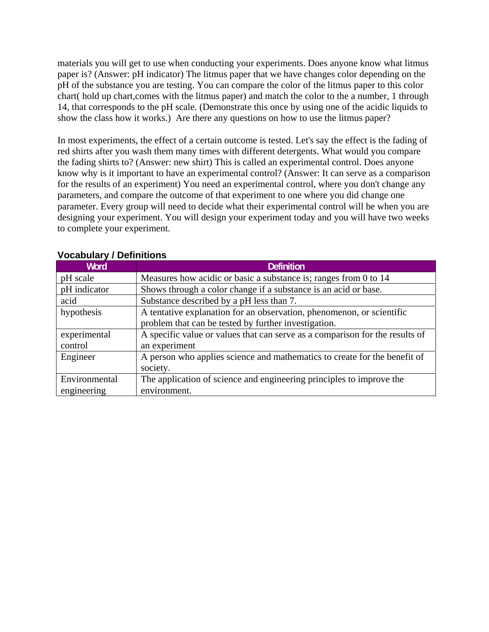materials you will get to use when conducting your experiments. Does anyone know what litmus paper is? (Answer: pH indicator) The litmus paper that we have changes color depending on the pH of the substance you are testing. You can compare the color of the litmus paper to this color chart( hold up chart,comes with the litmus paper) and match the color to the a number, 1 through 14, that corresponds to the pH scale. (Demonstrate this once by using one of the acidic liquids to show the class how it works.) Are there any questions on how to use the litmus paper?

In most experiments, the effect of a certain outcome is tested. Let's say the effect is the fading of red shirts after you wash them many times with different detergents. What would you compare the fading shirts to? (Answer: new shirt) This is called an experimental control. Does anyone know why is it important to have an experimental control? (Answer: It can serve as a comparison for the results of an experiment) You need an experimental control, where you don't change any parameters, and compare the outcome of that experiment to one where you did change one parameter. Every group will need to decide what their experimental control will be when you are designing your experiment. You will design your experiment today and you will have two weeks to complete your experiment.

| <b>Word</b>   | <b>Definition</b>                                                            |
|---------------|------------------------------------------------------------------------------|
| pH scale      | Measures how acidic or basic a substance is; ranges from 0 to 14             |
| pH indicator  | Shows through a color change if a substance is an acid or base.              |
| acid          | Substance described by a pH less than 7.                                     |
| hypothesis    | A tentative explanation for an observation, phenomenon, or scientific        |
|               | problem that can be tested by further investigation.                         |
| experimental  | A specific value or values that can serve as a comparison for the results of |
| control       | an experiment                                                                |
| Engineer      | A person who applies science and mathematics to create for the benefit of    |
|               | society.                                                                     |
| Environmental | The application of science and engineering principles to improve the         |
| engineering   | environment.                                                                 |

## **Vocabulary / Definitions**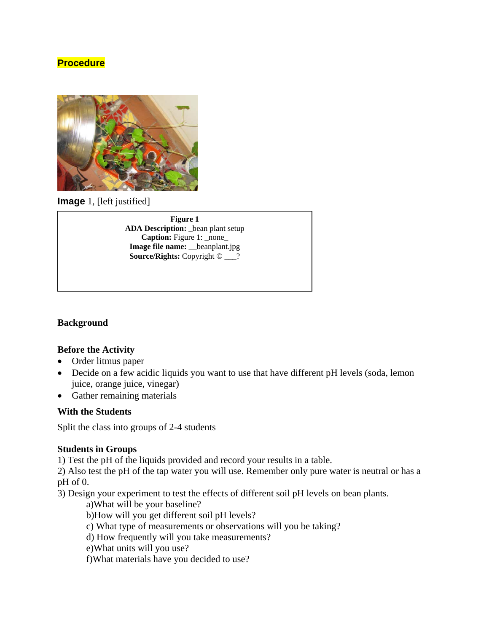# **Procedure**



**Image** 1, [left justified]

**Figure 1 ADA Description:** \_bean plant setup **Caption:** Figure 1: \_none\_ **Image file name:** \_\_beanplant.jpg **Source/Rights:** Copyright © \_\_\_?

#### **Background**

#### **Before the Activity**

- Order litmus paper
- Decide on a few acidic liquids you want to use that have different pH levels (soda, lemon juice, orange juice, vinegar)
- Gather remaining materials

#### **With the Students**

Split the class into groups of 2-4 students

#### **Students in Groups**

1) Test the pH of the liquids provided and record your results in a table.

2) Also test the pH of the tap water you will use. Remember only pure water is neutral or has a pH of 0.

3) Design your experiment to test the effects of different soil pH levels on bean plants.

a)What will be your baseline?

b)How will you get different soil pH levels?

c) What type of measurements or observations will you be taking?

d) How frequently will you take measurements?

e)What units will you use?

f)What materials have you decided to use?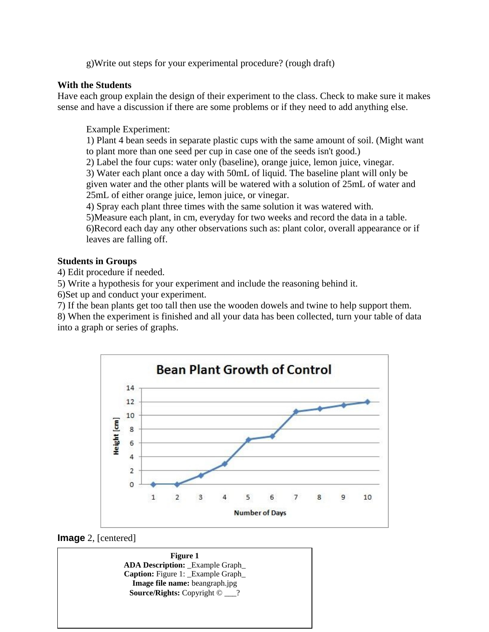g)Write out steps for your experimental procedure? (rough draft)

#### **With the Students**

Have each group explain the design of their experiment to the class. Check to make sure it makes sense and have a discussion if there are some problems or if they need to add anything else.

#### Example Experiment:

 1) Plant 4 bean seeds in separate plastic cups with the same amount of soil. (Might want to plant more than one seed per cup in case one of the seeds isn't good.)

2) Label the four cups: water only (baseline), orange juice, lemon juice, vinegar.

 3) Water each plant once a day with 50mL of liquid. The baseline plant will only be given water and the other plants will be watered with a solution of 25mL of water and 25mL of either orange juice, lemon juice, or vinegar.

4) Spray each plant three times with the same solution it was watered with.

5)Measure each plant, in cm, everyday for two weeks and record the data in a table.

 6)Record each day any other observations such as: plant color, overall appearance or if leaves are falling off.

## **Students in Groups**

4) Edit procedure if needed.

5) Write a hypothesis for your experiment and include the reasoning behind it.

6)Set up and conduct your experiment.

7) If the bean plants get too tall then use the wooden dowels and twine to help support them.

8) When the experiment is finished and all your data has been collected, turn your table of data into a graph or series of graphs.



#### **Image** 2, [centered]

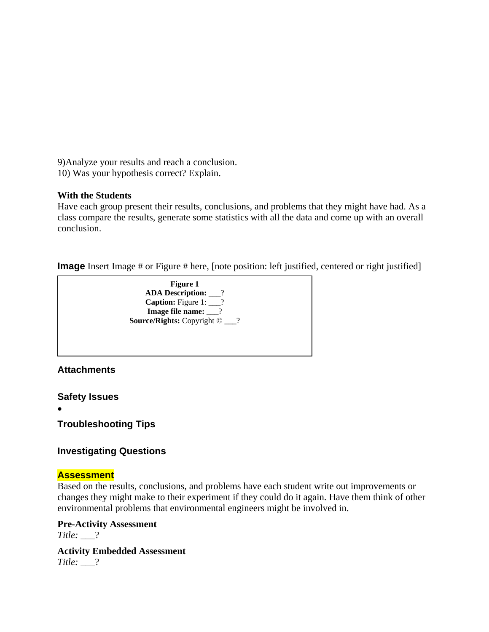9)Analyze your results and reach a conclusion.

10) Was your hypothesis correct? Explain.

## **With the Students**

Have each group present their results, conclusions, and problems that they might have had. As a class compare the results, generate some statistics with all the data and come up with an overall conclusion.

**Image** Insert Image # or Figure # here, [note position: left justified, centered or right justified]



**Attachments** 

**Safety Issues** 

•

**Troubleshooting Tips** 

# **Investigating Questions**

# **Assessment**

Based on the results, conclusions, and problems have each student write out improvements or changes they might make to their experiment if they could do it again. Have them think of other environmental problems that environmental engineers might be involved in.

**Pre-Activity Assessment** 

*Title:* \_\_\_?

**Activity Embedded Assessment**  *Title:* \_\_\_?